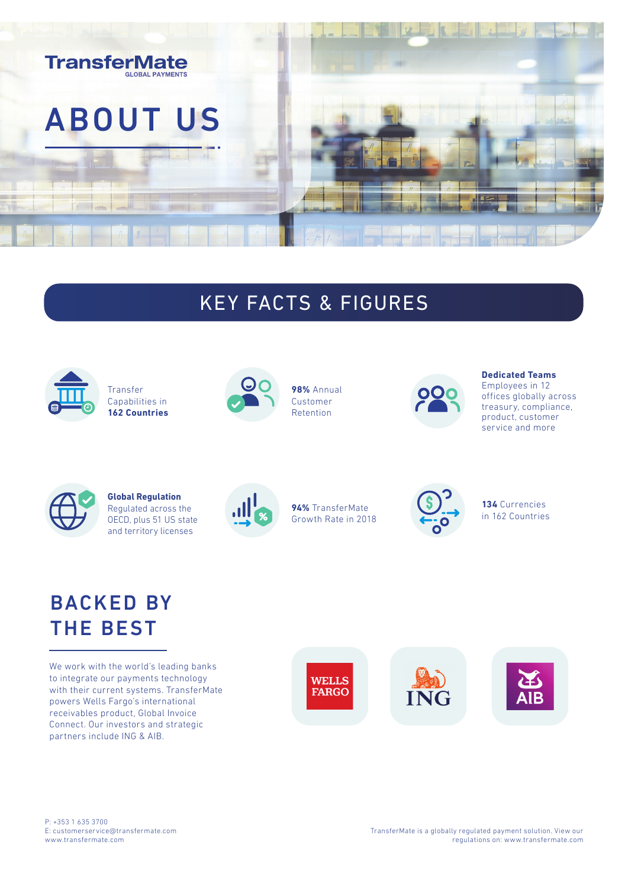

## KEY FACTS & FIGURES



Transfer Capabilities in **162 Countries**



**98%** Annual Customer Retention



#### **Dedicated Teams**

Employees in 12 offices globally across treasury, compliance, product, customer service and more



**Global Regulation** Regulated across the OECD, plus 51 US state and territory licenses



**94%** TransferMate Growth Rate in 2018



**134** Currencies in 162 Countries

## BACKED BY THE BEST

We work with the world's leading banks to integrate our payments technology with their current systems. TransferMate powers Wells Fargo's international receivables product, Global Invoice Connect. Our investors and strategic partners include ING & AIB.